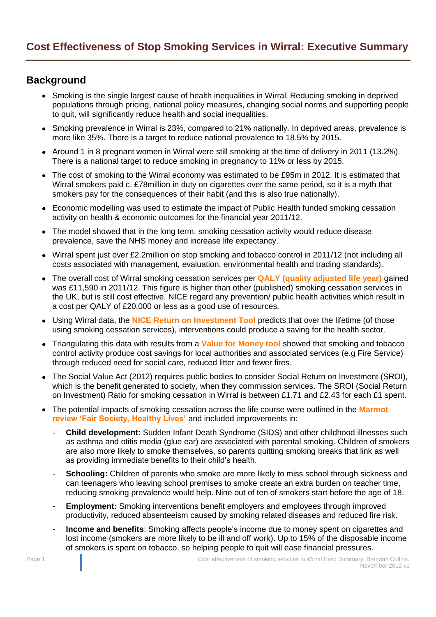## **Background**

- Smoking is the single largest cause of health inequalities in Wirral. Reducing smoking in deprived populations through pricing, national policy measures, changing social norms and supporting people to quit, will significantly reduce health and social inequalities.
- Smoking prevalence in Wirral is 23%, compared to 21% nationally. In deprived areas, prevalence is more like 35%. There is a target to reduce national prevalence to 18.5% by 2015.
- Around 1 in 8 pregnant women in Wirral were still smoking at the time of delivery in 2011 (13.2%). There is a national target to reduce smoking in pregnancy to 11% or less by 2015.
- The cost of smoking to the Wirral economy was estimated to be £95m in 2012. It is estimated that Wirral smokers paid c. £78million in duty on cigarettes over the same period, so it is a myth that smokers pay for the consequences of their habit (and this is also true nationally).
- Economic modelling was used to estimate the impact of Public Health funded smoking cessation activity on health & economic outcomes for the financial year 2011/12.
- The model showed that in the long term, smoking cessation activity would reduce disease prevalence, save the NHS money and increase life expectancy.
- Wirral spent just over £2.2million on stop smoking and tobacco control in 2011/12 (not including all costs associated with management, evaluation, environmental health and trading standards).
- The overall cost of Wirral smoking cessation services per **QALY [\(quality adjusted life year\)](http://www.nice.org.uk/newsroom/features/measuringeffectivenessandcosteffectivenesstheqaly.jsp)** gained was £11,590 in 2011/12. This figure is higher than other (published) smoking cessation services in the UK, but is still cost effective. NICE regard any prevention/ public health activities which result in a cost per QALY of £20,000 or less as a good use of resources.
- Using Wirral data, the **[NICE Return on Investment Tool](http://www.nice.org.uk/usingguidance/implementationtools/returnoninvesment/TobaccoROITool.jsp)** predicts that over the lifetime (of those using smoking cessation services), interventions could produce a saving for the health sector.
- Triangulating this data with results from a **[Value for Money tool](http://www.thensmc.com/resources/vfm)** showed that smoking and tobacco control activity produce cost savings for local authorities and associated services (e.g Fire Service) through reduced need for social care, reduced litter and fewer fires.
- The Social Value Act (2012) requires public bodies to consider Social Return on Investment (SROI), which is the benefit generated to society, when they commission services. The SROI (Social Return on Investment) Ratio for smoking cessation in Wirral is between £1.71 and £2.43 for each £1 spent.
- The potential impacts of smoking cessation across the life course were outlined in the **[Marmot](http://www.instituteofhealthequity.org/projects/fair-society-healthy-lives-the-marmot-review)  [review 'Fair Society, Healthy Lives'](http://www.instituteofhealthequity.org/projects/fair-society-healthy-lives-the-marmot-review)** and included improvements in:
	- **Child development:** Sudden Infant Death Syndrome (SIDS) and other childhood illnesses such as asthma and otitis media (glue ear) are associated with parental smoking. Children of smokers are also more likely to smoke themselves, so parents quitting smoking breaks that link as well as providing immediate benefits to their child's health.
	- **Schooling:** Children of parents who smoke are more likely to miss school through sickness and can teenagers who leaving school premises to smoke create an extra burden on teacher time, reducing smoking prevalence would help. Nine out of ten of smokers start before the age of 18.
	- **Employment:** Smoking interventions benefit employers and employees through improyed productivity, reduced absenteeism caused by smoking related diseases and reduced fire risk.
	- **Income and benefits**: Smoking affects people's income due to money spent on cigarettes and lost income (smokers are more likely to be ill and off work). Up to 15% of the disposable income of smokers is spent on tobacco, so helping people to quit will ease financial pressures.